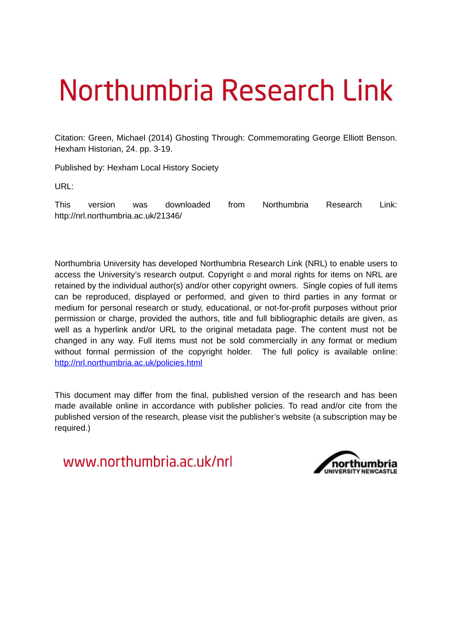# Northumbria Research Link

Citation: Green, Michael (2014) Ghosting Through: Commemorating George Elliott Benson. Hexham Historian, 24. pp. 3-19.

Published by: Hexham Local History Society

URL:

This version was downloaded from Northumbria Research Link: http://nrl.northumbria.ac.uk/21346/

Northumbria University has developed Northumbria Research Link (NRL) to enable users to access the University's research output. Copyright © and moral rights for items on NRL are retained by the individual author(s) and/or other copyright owners. Single copies of full items can be reproduced, displayed or performed, and given to third parties in any format or medium for personal research or study, educational, or not-for-profit purposes without prior permission or charge, provided the authors, title and full bibliographic details are given, as well as a hyperlink and/or URL to the original metadata page. The content must not be changed in any way. Full items must not be sold commercially in any format or medium without formal permission of the copyright holder. The full policy is available online: <http://nrl.northumbria.ac.uk/policies.html>

This document may differ from the final, published version of the research and has been made available online in accordance with publisher policies. To read and/or cite from the published version of the research, please visit the publisher's website (a subscription may be required.)

www.northumbria.ac.uk/nrl

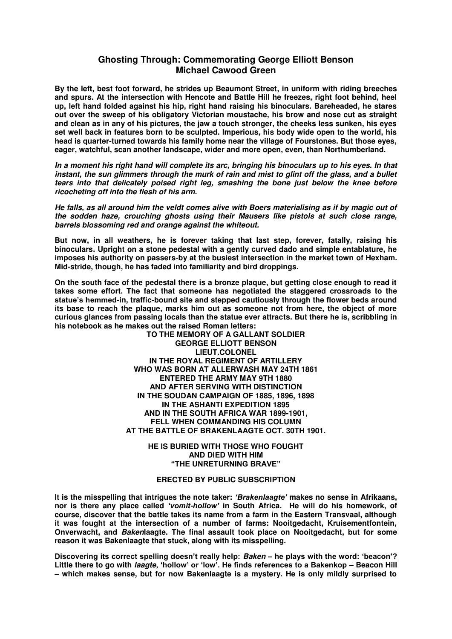## **Ghosting Through: Commemorating George Elliott Benson Michael Cawood Green**

**By the left, best foot forward, he strides up Beaumont Street, in uniform with riding breeches and spurs. At the intersection with Hencote and Battle Hill he freezes, right foot behind, heel up, left hand folded against his hip, right hand raising his binoculars. Bareheaded, he stares out over the sweep of his obligatory Victorian moustache, his brow and nose cut as straight and clean as in any of his pictures, the jaw a touch stronger, the cheeks less sunken, his eyes set well back in features born to be sculpted. Imperious, his body wide open to the world, his head is quarter-turned towards his family home near the village of Fourstones. But those eyes, eager, watchful, scan another landscape, wider and more open, even, than Northumberland.** 

*In a moment his right hand will complete its arc, bringing his binoculars up to his eyes. In that instant, the sun glimmers through the murk of rain and mist to glint off the glass, and a bullet tears into that delicately poised right leg, smashing the bone just below the knee before ricocheting off into the flesh of his arm.* 

*He falls, as all around him the veldt comes alive with Boers materialising as if by magic out of the sodden haze, crouching ghosts using their Mausers like pistols at such close range, barrels blossoming red and orange against the whiteout.* 

**But now, in all weathers, he is forever taking that last step, forever, fatally, raising his binoculars. Upright on a stone pedestal with a gently curved dado and simple entablature, he imposes his authority on passers-by at the busiest intersection in the market town of Hexham. Mid-stride, though, he has faded into familiarity and bird droppings.** 

**On the south face of the pedestal there is a bronze plaque, but getting close enough to read it takes some effort. The fact that someone has negotiated the staggered crossroads to the statue's hemmed-in, traffic-bound site and stepped cautiously through the flower beds around its base to reach the plaque, marks him out as someone not from here, the object of more curious glances from passing locals than the statue ever attracts. But there he is, scribbling in his notebook as he makes out the raised Roman letters:** 

> **TO THE MEMORY OF A GALLANT SOLDIER GEORGE ELLIOTT BENSON LIEUT.COLONEL IN THE ROYAL REGIMENT OF ARTILLERY WHO WAS BORN AT ALLERWASH MAY 24TH 1861 ENTERED THE ARMY MAY 9TH 1880 AND AFTER SERVING WITH DISTINCTION IN THE SOUDAN CAMPAIGN OF 1885, 1896, 1898 IN THE ASHANTI EXPEDITION 1895 AND IN THE SOUTH AFRICA WAR 1899-1901, FELL WHEN COMMANDING HIS COLUMN AT THE BATTLE OF BRAKENLAAGTE OCT. 30TH 1901.**

> > **HE IS BURIED WITH THOSE WHO FOUGHT AND DIED WITH HIM "THE UNRETURNING BRAVE"**

## **ERECTED BY PUBLIC SUBSCRIPTION**

**It is the misspelling that intrigues the note taker:** *'Brakenlaagte'* **makes no sense in Afrikaans, nor is there any place called** *'vomit-hollow'* **in South Africa. He will do his homework, of course, discover that the battle takes its name from a farm in the Eastern Transvaal, although it was fought at the intersection of a number of farms: Nooitgedacht, Kruisementfontein, Onverwacht, and** *Baken***laagte. The final assault took place on Nooitgedacht, but for some reason it was Bakenlaagte that stuck, along with its misspelling.** 

**Discovering its correct spelling doesn't really help:** *Baken* **– he plays with the word: 'beacon'? Little there to go with** *laagte***, 'hollow' or 'low'. He finds references to a Bakenkop – Beacon Hill – which makes sense, but for now Bakenlaagte is a mystery. He is only mildly surprised to**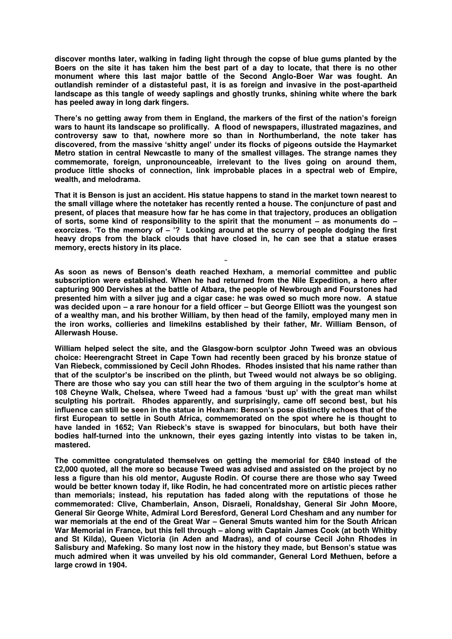**discover months later, walking in fading light through the copse of blue gums planted by the Boers on the site it has taken him the best part of a day to locate, that there is no other monument where this last major battle of the Second Anglo-Boer War was fought. An outlandish reminder of a distasteful past, it is as foreign and invasive in the post-apartheid landscape as this tangle of weedy saplings and ghostly trunks, shining white where the bark has peeled away in long dark fingers.** 

**There's no getting away from them in England, the markers of the first of the nation's foreign wars to haunt its landscape so prolifically. A flood of newspapers, illustrated magazines, and controversy saw to that, nowhere more so than in Northumberland, the note taker has discovered, from the massive 'shitty angel' under its flocks of pigeons outside the Haymarket Metro station in central Newcastle to many of the smallest villages. The strange names they commemorate, foreign, unpronounceable, irrelevant to the lives going on around them, produce little shocks of connection, link improbable places in a spectral web of Empire, wealth, and melodrama.** 

**That it is Benson is just an accident. His statue happens to stand in the market town nearest to the small village where the notetaker has recently rented a house. The conjuncture of past and present, of places that measure how far he has come in that trajectory, produces an obligation of sorts, some kind of responsibility to the spirit that the monument – as monuments do – exorcizes. 'To the memory of – '? Looking around at the scurry of people dodging the first heavy drops from the black clouds that have closed in, he can see that a statue erases memory, erects history in its place.** 

**˜ As soon as news of Benson's death reached Hexham, a memorial committee and public subscription were established. When he had returned from the Nile Expedition, a hero after capturing 900 Dervishes at the battle of Atbara, the people of Newbrough and Fourstones had presented him with a silver jug and a cigar case: he was owed so much more now. A statue was decided upon – a rare honour for a field officer – but George Elliott was the youngest son of a wealthy man, and his brother William, by then head of the family, employed many men in the iron works, collieries and limekilns established by their father, Mr. William Benson, of Allerwash House.** 

**William helped select the site, and the Glasgow-born sculptor John Tweed was an obvious choice: Heerengracht Street in Cape Town had recently been graced by his bronze statue of Van Riebeck, commissioned by Cecil John Rhodes. Rhodes insisted that his name rather than that of the sculptor's be inscribed on the plinth, but Tweed would not always be so obliging. There are those who say you can still hear the two of them arguing in the sculptor's home at 108 Cheyne Walk, Chelsea, where Tweed had a famous 'bust up' with the great man whilst sculpting his portrait. Rhodes apparently, and surprisingly, came off second best, but his influence can still be seen in the statue in Hexham: Benson's pose distinctly echoes that of the first European to settle in South Africa, commemorated on the spot where he is thought to have landed in 1652; Van Riebeck's stave is swapped for binoculars, but both have their bodies half-turned into the unknown, their eyes gazing intently into vistas to be taken in, mastered.** 

**The committee congratulated themselves on getting the memorial for £840 instead of the £2,000 quoted, all the more so because Tweed was advised and assisted on the project by no less a figure than his old mentor, Auguste Rodin. Of course there are those who say Tweed would be better known today if, like Rodin, he had concentrated more on artistic pieces rather than memorials; instead, his reputation has faded along with the reputations of those he commemorated: Clive, Chamberlain, Anson, Disraeli, Ronaldshay, General Sir John Moore, General Sir George White, Admiral Lord Beresford, General Lord Chesham and any number for war memorials at the end of the Great War – General Smuts wanted him for the South African War Memorial in France, but this fell through – along with Captain James Cook (at both Whitby and St Kilda), Queen Victoria (in Aden and Madras), and of course Cecil John Rhodes in Salisbury and Mafeking. So many lost now in the history they made, but Benson's statue was much admired when it was unveiled by his old commander, General Lord Methuen, before a large crowd in 1904.**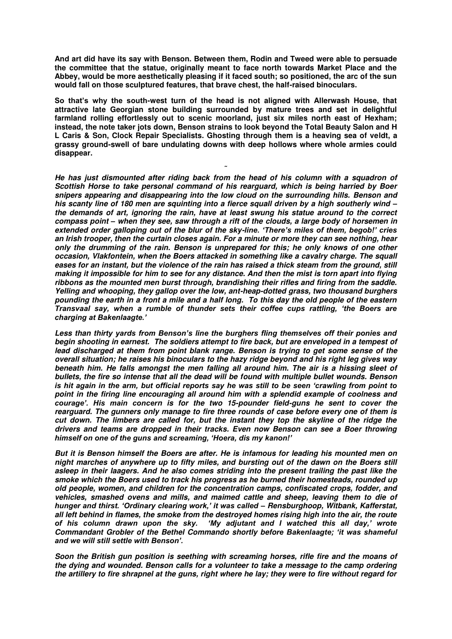**And art did have its say with Benson. Between them, Rodin and Tweed were able to persuade the committee that the statue, originally meant to face north towards Market Place and the Abbey, would be more aesthetically pleasing if it faced south; so positioned, the arc of the sun would fall on those sculptured features, that brave chest, the half-raised binoculars.** 

**So that's why the south-west turn of the head is not aligned with Allerwash House, that attractive late Georgian stone building surrounded by mature trees and set in delightful farmland rolling effortlessly out to scenic moorland, just six miles north east of Hexham; instead, the note taker jots down, Benson strains to look beyond the Total Beauty Salon and H L Caris & Son, Clock Repair Specialists. Ghosting through them is a heaving sea of veldt, a grassy ground-swell of bare undulating downs with deep hollows where whole armies could disappear.** 

**˜**

*He has just dismounted after riding back from the head of his column with a squadron of Scottish Horse to take personal command of his rearguard, which is being harried by Boer snipers appearing and disappearing into the low cloud on the surrounding hills. Benson and his scanty line of 180 men are squinting into a fierce squall driven by a high southerly wind – the demands of art, ignoring the rain, have at least swung his statue around to the correct compass point – when they see, saw through a rift of the clouds, a large body of horsemen in extended order galloping out of the blur of the sky-line. 'There's miles of them, begob!' cries an Irish trooper, then the curtain closes again. For a minute or more they can see nothing, hear only the drumming of the rain. Benson is unprepared for this; he only knows of one other occasion, Vlakfontein, when the Boers attacked in something like a cavalry charge. The squall*  eases for an instant, but the violence of the rain has raised a thick steam from the ground, still *making it impossible for him to see for any distance. And then the mist is torn apart into flying ribbons as the mounted men burst through, brandishing their rifles and firing from the saddle. Yelling and whooping, they gallop over the low, ant-heap-dotted grass, two thousand burghers pounding the earth in a front a mile and a half long. To this day the old people of the eastern Transvaal say, when a rumble of thunder sets their coffee cups rattling, 'the Boers are charging at Bakenlaagte.'* 

*Less than thirty yards from Benson's line the burghers fling themselves off their ponies and begin shooting in earnest. The soldiers attempt to fire back, but are enveloped in a tempest of lead discharged at them from point blank range. Benson is trying to get some sense of the overall situation; he raises his binoculars to the hazy ridge beyond and his right leg gives way beneath him. He falls amongst the men falling all around him. The air is a hissing sleet of bullets, the fire so intense that all the dead will be found with multiple bullet wounds. Benson is hit again in the arm, but official reports say he was still to be seen 'crawling from point to point in the firing line encouraging all around him with a splendid example of coolness and courage'. His main concern is for the two 15-pounder field-guns he sent to cover the rearguard. The gunners only manage to fire three rounds of case before every one of them is cut down. The limbers are called for, but the instant they top the skyline of the ridge the drivers and teams are dropped in their tracks. Even now Benson can see a Boer throwing himself on one of the guns and screaming, 'Hoera, dis my kanon!'* 

*But it is Benson himself the Boers are after. He is infamous for leading his mounted men on night marches of anywhere up to fifty miles, and bursting out of the dawn on the Boers still asleep in their laagers. And he also comes striding into the present trailing the past like the smoke which the Boers used to track his progress as he burned their homesteads, rounded up old people, women, and children for the concentration camps, confiscated crops, fodder, and vehicles, smashed ovens and mills, and maimed cattle and sheep, leaving them to die of hunger and thirst. 'Ordinary clearing work,' it was called – Rensburghoop, Witbank, Kafferstat, all left behind in flames, the smoke from the destroyed homes rising high into the air, the route My adjutant and I watched this all day,' wrote Commandant Grobler of the Bethel Commando shortly before Bakenlaagte; 'it was shameful and we will still settle with Benson'.*

*Soon the British gun position is seething with screaming horses, rifle fire and the moans of the dying and wounded. Benson calls for a volunteer to take a message to the camp ordering the artillery to fire shrapnel at the guns, right where he lay; they were to fire without regard for*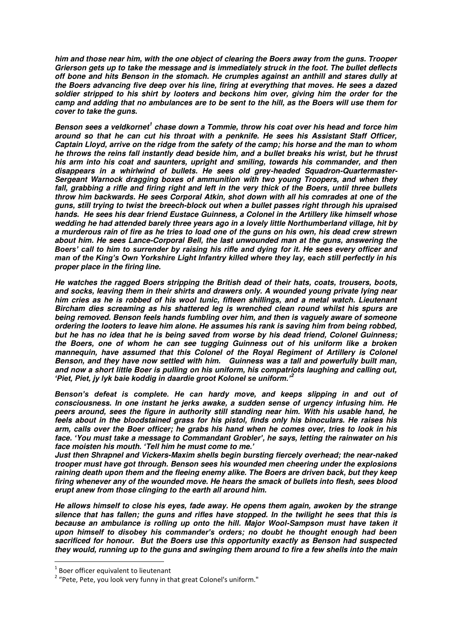*him and those near him, with the one object of clearing the Boers away from the guns. Trooper Grierson gets up to take the message and is immediately struck in the foot. The bullet deflects off bone and hits Benson in the stomach. He crumples against an anthill and stares dully at the Boers advancing five deep over his line, firing at everything that moves. He sees a dazed soldier stripped to his shirt by looters and beckons him over, giving him the order for the camp and adding that no ambulances are to be sent to the hill, as the Boers will use them for cover to take the guns.* 

Benson sees a veldkornet<sup>1</sup> chase down a Tommie, throw his coat over his head and force him *around so that he can cut his throat with a penknife. He sees his Assistant Staff Officer, Captain Lloyd, arrive on the ridge from the safety of the camp; his horse and the man to whom he throws the reins fall instantly dead beside him, and a bullet breaks his wrist, but he thrust his arm into his coat and saunters, upright and smiling, towards his commander, and then disappears in a whirlwind of bullets. He sees old grey-headed Squadron-Quartermaster-Sergeant Warnock dragging boxes of ammunition with two young Troopers, and when they fall, grabbing a rifle and firing right and left in the very thick of the Boers, until three bullets throw him backwards. He sees Corporal Atkin, shot down with all his comrades at one of the guns, still trying to twist the breech-block out when a bullet passes right through his upraised hands. He sees his dear friend Eustace Guinness, a Colonel in the Artillery like himself whose wedding he had attended barely three years ago in a lovely little Northumberland village, hit by a murderous rain of fire as he tries to load one of the guns on his own, his dead crew strewn about him. He sees Lance-Corporal Bell, the last unwounded man at the guns, answering the Boers' call to him to surrender by raising his rifle and dying for it. He sees every officer and man of the King's Own Yorkshire Light Infantry killed where they lay, each still perfectly in his proper place in the firing line.* 

*He watches the ragged Boers stripping the British dead of their hats, coats, trousers, boots, and socks, leaving them in their shirts and drawers only. A wounded young private lying near him cries as he is robbed of his wool tunic, fifteen shillings, and a metal watch. Lieutenant Bircham dies screaming as his shattered leg is wrenched clean round whilst his spurs are being removed. Benson feels hands fumbling over him, and then is vaguely aware of someone ordering the looters to leave him alone. He assumes his rank is saving him from being robbed, but he has no idea that he is being saved from worse by his dead friend, Colonel Guinness; the Boers, one of whom he can see tugging Guinness out of his uniform like a broken mannequin, have assumed that this Colonel of the Royal Regiment of Artillery is Colonel Benson, and they have now settled with him. Guinness was a tall and powerfully built man, and now a short little Boer is pulling on his uniform, his compatriots laughing and calling out, 'Piet, Piet, jy lyk baie koddig in daardie groot Kolonel se uniform.'<sup>2</sup>*

*Benson's defeat is complete. He can hardy move, and keeps slipping in and out of consciousness. In one instant he jerks awake, a sudden sense of urgency infusing him. He peers around, sees the figure in authority still standing near him. With his usable hand, he feels about in the bloodstained grass for his pistol, finds only his binoculars. He raises his arm, calls over the Boer officer; he grabs his hand when he comes over, tries to look in his face. 'You must take a message to Commandant Grobler', he says, letting the rainwater on his face moisten his mouth. 'Tell him he must come to me.'* 

*Just then Shrapnel and Vickers-Maxim shells begin bursting fiercely overhead; the near-naked trooper must have got through. Benson sees his wounded men cheering under the explosions raining death upon them and the fleeing enemy alike. The Boers are driven back, but they keep firing whenever any of the wounded move. He hears the smack of bullets into flesh, sees blood erupt anew from those clinging to the earth all around him.* 

*He allows himself to close his eyes, fade away. He opens them again, awoken by the strange silence that has fallen; the guns and rifles have stopped. In the twilight he sees that this is because an ambulance is rolling up onto the hill. Major Wool-Sampson must have taken it upon himself to disobey his commander's orders; no doubt he thought enough had been sacrificed for honour. But the Boers use this opportunity exactly as Benson had suspected they would, running up to the guns and swinging them around to fire a few shells into the main* 

<u>.</u>

 $1$  Boer officer equivalent to lieutenant

<sup>&</sup>lt;sup>2</sup> "Pete, Pete, you look very funny in that great Colonel's uniform."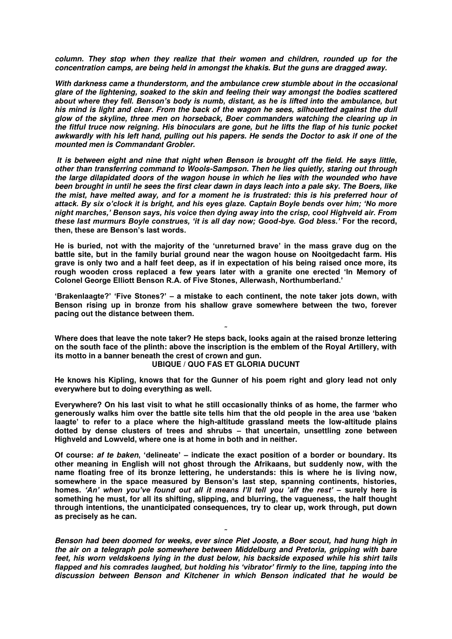*column. They stop when they realize that their women and children, rounded up for the concentration camps, are being held in amongst the khakis. But the guns are dragged away.* 

*With darkness came a thunderstorm, and the ambulance crew stumble about in the occasional glare of the lightening, soaked to the skin and feeling their way amongst the bodies scattered about where they fell. Benson's body is numb, distant, as he is lifted into the ambulance, but his mind is light and clear. From the back of the wagon he sees, silhouetted against the dull glow of the skyline, three men on horseback, Boer commanders watching the clearing up in the fitful truce now reigning. His binoculars are gone, but he lifts the flap of his tunic pocket awkwardly with his left hand, pulling out his papers. He sends the Doctor to ask if one of the mounted men is Commandant Grobler.* 

 *It is between eight and nine that night when Benson is brought off the field. He says little, other than transferring command to Wools-Sampson. Then he lies quietly, staring out through the large dilapidated doors of the wagon house in which he lies with the wounded who have been brought in until he sees the first clear dawn in days leach into a pale sky. The Boers, like the mist, have melted away, and for a moment he is frustrated: this is his preferred hour of attack. By six o'clock it is bright, and his eyes glaze. Captain Boyle bends over him; 'No more night marches,' Benson says, his voice then dying away into the crisp, cool Highveld air. From these last murmurs Boyle construes, 'it is all day now; Good-bye. God bless.'* **For the record, then, these are Benson's last words.**

**He is buried, not with the majority of the 'unreturned brave' in the mass grave dug on the battle site, but in the family burial ground near the wagon house on Nooitgedacht farm. His grave is only two and a half feet deep, as if in expectation of his being raised once more, its rough wooden cross replaced a few years later with a granite one erected 'In Memory of Colonel George Elliott Benson R.A. of Five Stones, Allerwash, Northumberland.'** 

**'Brakenlaagte?' 'Five Stones?' – a mistake to each continent, the note taker jots down, with Benson rising up in bronze from his shallow grave somewhere between the two, forever pacing out the distance between them.** 

**˜ Where does that leave the note taker? He steps back, looks again at the raised bronze lettering on the south face of the plinth: above the inscription is the emblem of the Royal Artillery, with its motto in a banner beneath the crest of crown and gun.** 

#### **UBIQUE / QUO FAS ET GLORIA DUCUNT**

**He knows his Kipling, knows that for the Gunner of his poem right and glory lead not only everywhere but to doing everything as well.** 

**Everywhere? On his last visit to what he still occasionally thinks of as home, the farmer who generously walks him over the battle site tells him that the old people in the area use 'baken laagte' to refer to a place where the high-altitude grassland meets the low-altitude plains dotted by dense clusters of trees and shrubs – that uncertain, unsettling zone between Highveld and Lowveld, where one is at home in both and in neither.** 

**Of course:** *af te baken***, 'delineate' – indicate the exact position of a border or boundary. Its other meaning in English will not ghost through the Afrikaans, but suddenly now, with the name floating free of its bronze lettering, he understands: this is where he is living now, somewhere in the space measured by Benson's last step, spanning continents, histories, homes.** *'An' when you've found out all it means I'll tell you 'alf the rest'* **– surely here is something he must, for all its shifting, slipping, and blurring, the vagueness, the half thought through intentions, the unanticipated consequences, try to clear up, work through, put down as precisely as he can.** 

**˜** *Benson had been doomed for weeks, ever since Piet Jooste, a Boer scout, had hung high in the air on a telegraph pole somewhere between Middelburg and Pretoria, gripping with bare feet, his worn veldskoens lying in the dust below, his backside exposed while his shirt tails flapped and his comrades laughed, but holding his 'vibrator' firmly to the line, tapping into the discussion between Benson and Kitchener in which Benson indicated that he would be*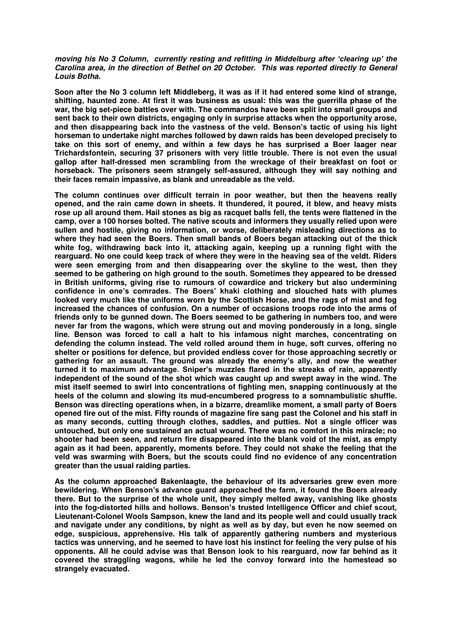### *moving his No 3 Column, currently resting and refitting in Middelburg after 'clearing up' the Carolina area, in the direction of Bethel on 20 October. This was reported directly to General Louis Botha.*

**Soon after the No 3 column left Middleberg, it was as if it had entered some kind of strange, shifting, haunted zone. At first it was business as usual: this was the guerrilla phase of the war, the big set-piece battles over with. The commandos have been split into small groups and sent back to their own districts, engaging only in surprise attacks when the opportunity arose, and then disappearing back into the vastness of the veld. Benson's tactic of using his light horseman to undertake night marches followed by dawn raids has been developed precisely to take on this sort of enemy, and within a few days he has surprised a Boer laager near Trichardsfontein, securing 37 prisoners with very little trouble. There is not even the usual gallop after half-dressed men scrambling from the wreckage of their breakfast on foot or horseback. The prisoners seem strangely self-assured, although they will say nothing and their faces remain impassive, as blank and unreadable as the veld.** 

**The column continues over difficult terrain in poor weather, but then the heavens really opened, and the rain came down in sheets. It thundered, it poured, it blew, and heavy mists rose up all around them. Hail stones as big as racquet balls fell, the tents were flattened in the camp, over a 100 horses bolted. The native scouts and informers they usually relied upon were sullen and hostile, giving no information, or worse, deliberately misleading directions as to where they had seen the Boers. Then small bands of Boers began attacking out of the thick white fog, withdrawing back into it, attacking again, keeping up a running fight with the rearguard. No one could keep track of where they were in the heaving sea of the veldt. Riders were seen emerging from and then disappearing over the skyline to the west, then they seemed to be gathering on high ground to the south. Sometimes they appeared to be dressed in British uniforms, giving rise to rumours of cowardice and trickery but also undermining confidence in one's comrades. The Boers' khaki clothing and slouched hats with plumes looked very much like the uniforms worn by the Scottish Horse, and the rags of mist and fog increased the chances of confusion. On a number of occasions troops rode into the arms of friends only to be gunned down. The Boers seemed to be gathering in numbers too, and were never far from the wagons, which were strung out and moving ponderously in a long, single line. Benson was forced to call a halt to his infamous night marches, concentrating on defending the column instead. The veld rolled around them in huge, soft curves, offering no shelter or positions for defence, but provided endless cover for those approaching secretly or gathering for an assault. The ground was already the enemy's ally, and now the weather turned it to maximum advantage. Sniper's muzzles flared in the streaks of rain, apparently independent of the sound of the shot which was caught up and swept away in the wind. The mist itself seemed to swirl into concentrations of fighting men, snapping continuously at the heels of the column and slowing its mud-encumbered progress to a somnambulistic shuffle. Benson was directing operations when, in a bizarre, dreamlike moment, a small party of Boers opened fire out of the mist. Fifty rounds of magazine fire sang past the Colonel and his staff in as many seconds, cutting through clothes, saddles, and putties. Not a single officer was untouched, but only one sustained an actual wound. There was no comfort in this miracle; no shooter had been seen, and return fire disappeared into the blank void of the mist, as empty again as it had been, apparently, moments before. They could not shake the feeling that the veld was swarming with Boers, but the scouts could find no evidence of any concentration greater than the usual raiding parties.** 

**As the column approached Bakenlaagte, the behaviour of its adversaries grew even more bewildering. When Benson's advance guard approached the farm, it found the Boers already there. But to the surprise of the whole unit, they simply melted away, vanishing like ghosts into the fog-distorted hills and hollows. Benson's trusted Intelligence Officer and chief scout, Lieutenant-Colonel Wools Sampson, knew the land and its people well and could usually track and navigate under any conditions, by night as well as by day, but even he now seemed on edge, suspicious, apprehensive. His talk of apparently gathering numbers and mysterious tactics was unnerving, and he seemed to have lost his instinct for feeling the very pulse of his opponents. All he could advise was that Benson look to his rearguard, now far behind as it covered the straggling wagons, while he led the convoy forward into the homestead so strangely evacuated.**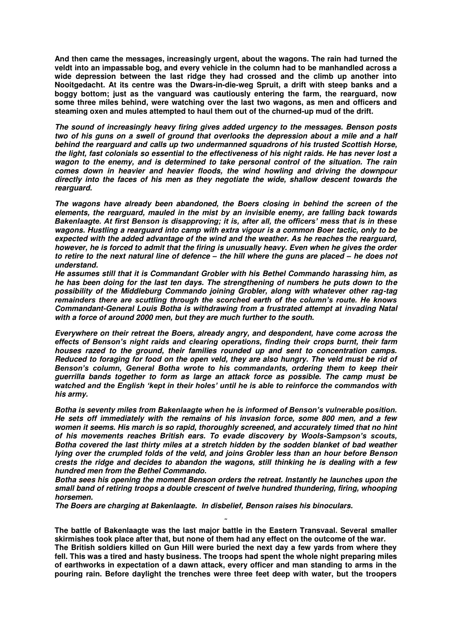**And then came the messages, increasingly urgent, about the wagons. The rain had turned the veldt into an impassable bog, and every vehicle in the column had to be manhandled across a wide depression between the last ridge they had crossed and the climb up another into Nooitgedacht. At its centre was the Dwars-in-die-weg Spruit, a drift with steep banks and a boggy bottom; just as the vanguard was cautiously entering the farm, the rearguard, now some three miles behind, were watching over the last two wagons, as men and officers and steaming oxen and mules attempted to haul them out of the churned-up mud of the drift.** 

*The sound of increasingly heavy firing gives added urgency to the messages. Benson posts two of his guns on a swell of ground that overlooks the depression about a mile and a half behind the rearguard and calls up two undermanned squadrons of his trusted Scottish Horse, the light, fast colonials so essential to the effectiveness of his night raids. He has never lost a wagon to the enemy, and is determined to take personal control of the situation. The rain comes down in heavier and heavier floods, the wind howling and driving the downpour directly into the faces of his men as they negotiate the wide, shallow descent towards the rearguard.* 

*The wagons have already been abandoned, the Boers closing in behind the screen of the elements, the rearguard, mauled in the mist by an invisible enemy, are falling back towards Bakenlaagte. At first Benson is disapproving; it is, after all, the officers' mess that is in these wagons. Hustling a rearguard into camp with extra vigour is a common Boer tactic, only to be expected with the added advantage of the wind and the weather. As he reaches the rearguard, however, he is forced to admit that the firing is unusually heavy. Even when he gives the order to retire to the next natural line of defence – the hill where the guns are placed – he does not understand.* 

*He assumes still that it is Commandant Grobler with his Bethel Commando harassing him, as he has been doing for the last ten days. The strengthening of numbers he puts down to the possibility of the Middleburg Commando joining Grobler, along with whatever other rag-tag remainders there are scuttling through the scorched earth of the column's route. He knows Commandant-General Louis Botha is withdrawing from a frustrated attempt at invading Natal with a force of around 2000 men, but they are much further to the south.* 

*Everywhere on their retreat the Boers, already angry, and despondent, have come across the effects of Benson's night raids and clearing operations, finding their crops burnt, their farm houses razed to the ground, their families rounded up and sent to concentration camps. Reduced to foraging for food on the open veld, they are also hungry. The veld must be rid of Benson's column, General Botha wrote to his commandants, ordering them to keep their guerrilla bands together to form as large an attack force as possible. The camp must be watched and the English 'kept in their holes' until he is able to reinforce the commandos with his army.* 

*Botha is seventy miles from Bakenlaagte when he is informed of Benson's vulnerable position. He sets off immediately with the remains of his invasion force, some 800 men, and a few women it seems. His march is so rapid, thoroughly screened, and accurately timed that no hint of his movements reaches British ears. To evade discovery by Wools-Sampson's scouts, Botha covered the last thirty miles at a stretch hidden by the sodden blanket of bad weather lying over the crumpled folds of the veld, and joins Grobler less than an hour before Benson crests the ridge and decides to abandon the wagons, still thinking he is dealing with a few hundred men from the Bethel Commando.* 

*Botha sees his opening the moment Benson orders the retreat. Instantly he launches upon the small band of retiring troops a double crescent of twelve hundred thundering, firing, whooping horsemen.* 

*The Boers are charging at Bakenlaagte. In disbelief, Benson raises his binoculars.* 

**The battle of Bakenlaagte was the last major battle in the Eastern Transvaal. Several smaller skirmishes took place after that, but none of them had any effect on the outcome of the war. The British soldiers killed on Gun Hill were buried the next day a few yards from where they fell. This was a tired and hasty business. The troops had spent the whole night preparing miles of earthworks in expectation of a dawn attack, every officer and man standing to arms in the pouring rain. Before daylight the trenches were three feet deep with water, but the troopers** 

**˜**